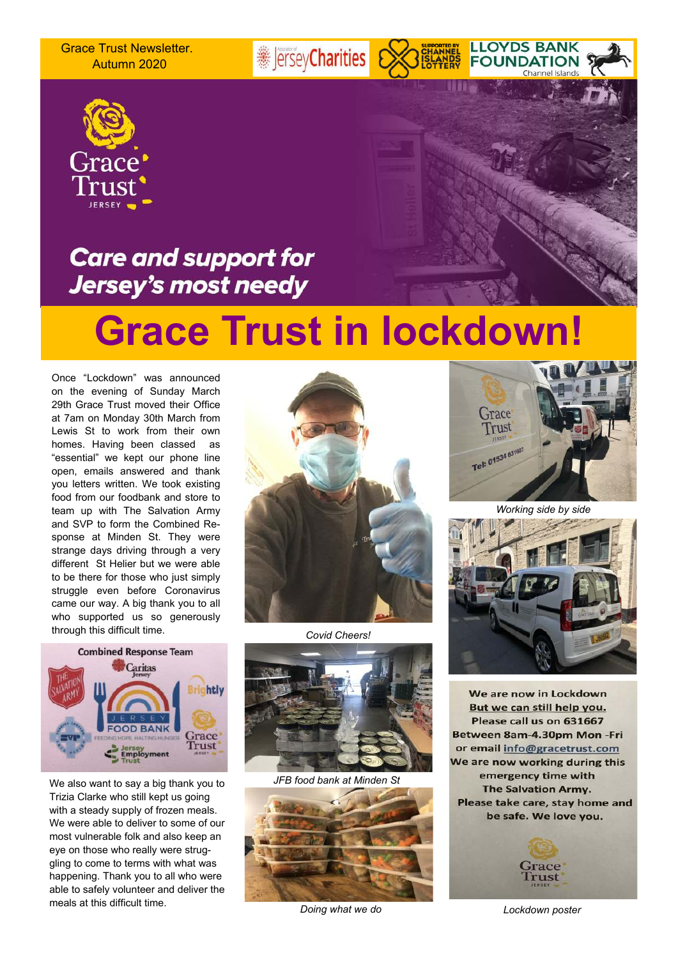Grace Trust Newsletter. Autumn 2020



### **Care and support for** Jersey's most needy

## **Grace Trust in lockdown!**

**Example 7** 

Once "Lockdown" was announced on the evening of Sunday March 29th Grace Trust moved their Office at 7am on Monday 30th March from Lewis St to work from their own homes. Having been classed as "essential" we kept our phone line open, emails answered and thank you letters written. We took existing food from our foodbank and store to team up with The Salvation Army and SVP to form the Combined Response at Minden St. They were strange days driving through a very different St Helier but we were able to be there for those who just simply struggle even before Coronavirus came our way. A big thank you to all who supported us so generously through this difficult time.



We also want to say a big thank you to Trizia Clarke who still kept us going with a steady supply of frozen meals. We were able to deliver to some of our most vulnerable folk and also keep an eye on those who really were struggling to come to terms with what was happening. Thank you to all who were able to safely volunteer and deliver the meals at this difficult time.



*Covid Cheers!*



*JFB food bank at Minden St*



 *Doing what we do Lockdown poster*



**LLOYDS BANK** 

**FOUNDATION** 

Channel Island

*Working side by side*



We are now in Lockdown But we can still help you. Please call us on 631667 Between 8am-4.30pm Mon-Fri or email info@gracetrust.com We are now working during this emergency time with **The Salvation Army.** Please take care, stay home and be safe. We love you.

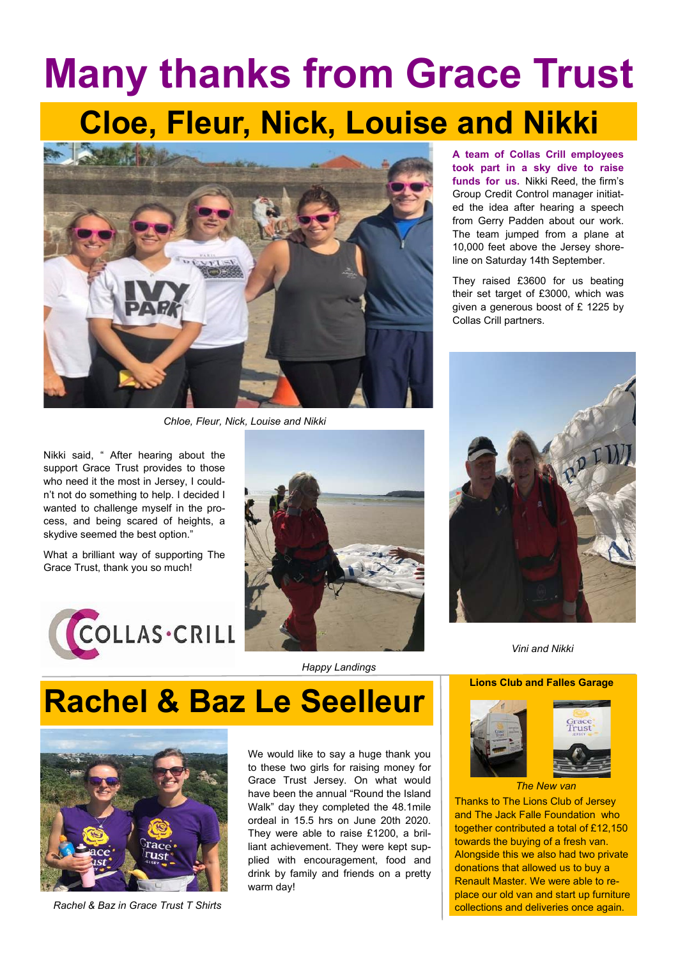# **Many thanks from Grace Trust Cloe, Fleur, Nick, Louise and Nikki**



*Chloe, Fleur, Nick, Louise and Nikki*

Nikki said, " After hearing about the support Grace Trust provides to those who need it the most in Jersey, I couldn't not do something to help. I decided I wanted to challenge myself in the process, and being scared of heights, a skydive seemed the best option."

What a brilliant way of supporting The Grace Trust, thank you so much!





**A team of Collas Crill employees took part in a sky dive to raise funds for us.** Nikki Reed, the firm's Group Credit Control manager initiated the idea after hearing a speech from Gerry Padden about our work. The team jumped from a plane at 10,000 feet above the Jersey shoreline on Saturday 14th September.

They raised £3600 for us beating their set target of £3000, which was given a generous boost of £ 1225 by Collas Crill partners.



*Vini and Nikki*

### **Lions Club and Falles Garage**



Thanks to The Lions Club of Jersey and The Jack Falle Foundation who together contributed a total of £12,150 towards the buying of a fresh van. Alongside this we also had two private donations that allowed us to buy a Renault Master. We were able to replace our old van and start up furniture collections and deliveries once again.

*Happy Landings*

## **Rachel & Baz Le Seelleur**



*Rachel & Baz in Grace Trust T Shirts*

We would like to say a huge thank you to these two girls for raising money for Grace Trust Jersey. On what would have been the annual "Round the Island Walk" day they completed the 48.1mile ordeal in 15.5 hrs on June 20th 2020. They were able to raise £1200, a brilliant achievement. They were kept supplied with encouragement, food and drink by family and friends on a pretty warm day!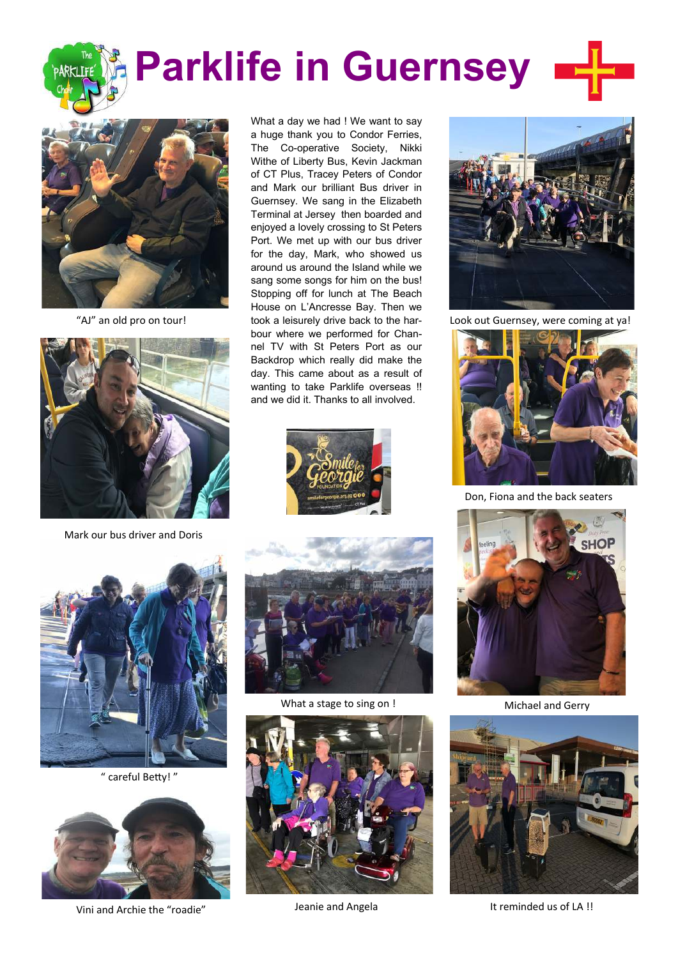# **Parklife in Guernsey**



"AJ" an old pro on tour!



Mark our bus driver and Doris

What a day we had ! We want to say a huge thank you to Condor Ferries, The Co-operative Society, Nikki Withe of Liberty Bus, Kevin Jackman of CT Plus, Tracey Peters of Condor and Mark our brilliant Bus driver in Guernsey. We sang in the Elizabeth Terminal at Jersey then boarded and enjoyed a lovely crossing to St Peters Port. We met up with our bus driver for the day, Mark, who showed us around us around the Island while we sang some songs for him on the bus! Stopping off for lunch at The Beach House on L'Ancresse Bay. Then we took a leisurely drive back to the harbour where we performed for Channel TV with St Peters Port as our Backdrop which really did make the day. This came about as a result of wanting to take Parklife overseas !! and we did it. Thanks to all involved.





" careful Betty! "



Vini and Archie the "roadie"



What a stage to sing on !





Look out Guernsey, were coming at ya!



Don, Fiona and the back seaters



Michael and Gerry



Jeanie and Angela It reminded us of LA !!